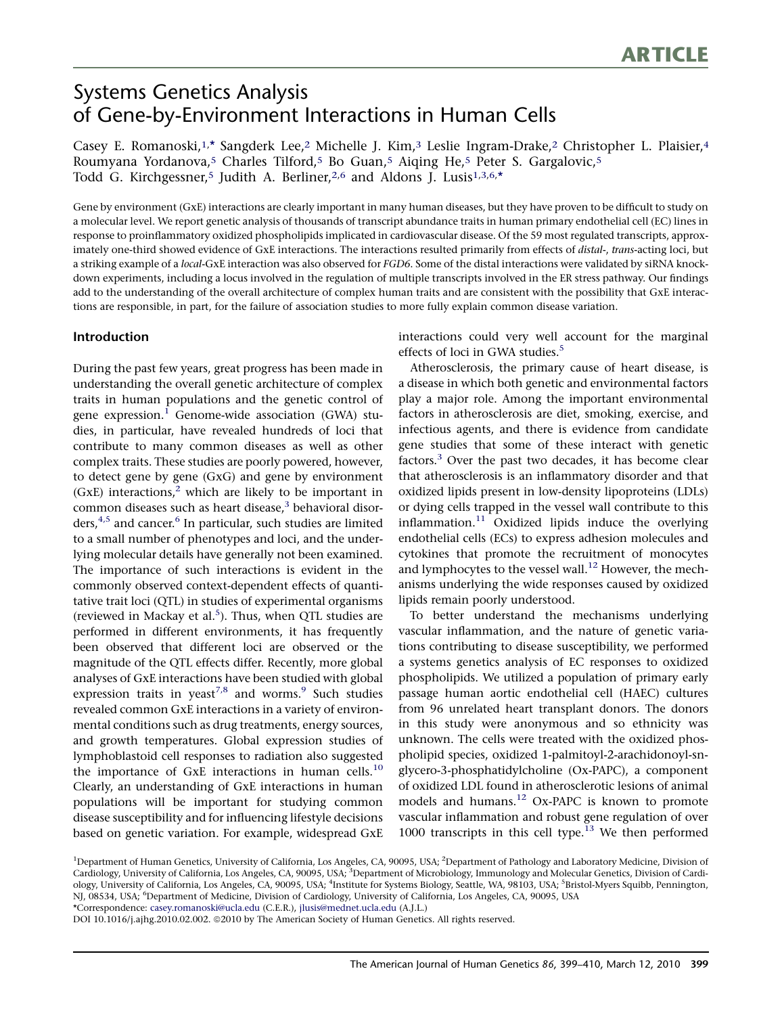# Systems Genetics Analysis of Gene-by-Environment Interactions in Human Cells

Casey E. Romanoski,<sup>1,\*</sup> Sangderk Lee,<sup>2</sup> Michelle J. Kim,<sup>3</sup> Leslie Ingram-Drake,<sup>2</sup> Christopher L. Plaisier,<sup>4</sup> Roumyana Yordanova,5 Charles Tilford,5 Bo Guan,5 Aiqing He,5 Peter S. Gargalovic,5 Todd G. Kirchgessner,<sup>5</sup> Judith A. Berliner,<sup>2,6</sup> and Aldons J. Lusis<sup>1,3,6,\*</sup>

Gene by environment (GxE) interactions are clearly important in many human diseases, but they have proven to be difficult to study on a molecular level. We report genetic analysis of thousands of transcript abundance traits in human primary endothelial cell (EC) lines in response to proinflammatory oxidized phospholipids implicated in cardiovascular disease. Of the 59 most regulated transcripts, approximately one-third showed evidence of GxE interactions. The interactions resulted primarily from effects of distal-, trans-acting loci, but a striking example of a local-GxE interaction was also observed for FGD6. Some of the distal interactions were validated by siRNA knockdown experiments, including a locus involved in the regulation of multiple transcripts involved in the ER stress pathway. Our findings add to the understanding of the overall architecture of complex human traits and are consistent with the possibility that GxE interactions are responsible, in part, for the failure of association studies to more fully explain common disease variation.

# Introduction

During the past few years, great progress has been made in understanding the overall genetic architecture of complex traits in human populations and the genetic control of gene expression.<sup>[1](#page-9-0)</sup> Genome-wide association (GWA) studies, in particular, have revealed hundreds of loci that contribute to many common diseases as well as other complex traits. These studies are poorly powered, however, to detect gene by gene (GxG) and gene by environment (GxE) interactions,<sup>[2](#page-10-0)</sup> which are likely to be important in common diseases such as heart disease, $3$  behavioral disor-ders,<sup>[4,5](#page-10-0)</sup> and cancer.<sup>6</sup> In particular, such studies are limited to a small number of phenotypes and loci, and the underlying molecular details have generally not been examined. The importance of such interactions is evident in the commonly observed context-dependent effects of quantitative trait loci (QTL) in studies of experimental organisms (reviewed in Mackay et al.<sup>5</sup>). Thus, when QTL studies are performed in different environments, it has frequently been observed that different loci are observed or the magnitude of the QTL effects differ. Recently, more global analyses of GxE interactions have been studied with global expression traits in yeast<sup>[7,8](#page-10-0)</sup> and worms.<sup>9</sup> Such studies revealed common GxE interactions in a variety of environmental conditions such as drug treatments, energy sources, and growth temperatures. Global expression studies of lymphoblastoid cell responses to radiation also suggested the importance of GxE interactions in human cells.<sup>[10](#page-10-0)</sup> Clearly, an understanding of GxE interactions in human populations will be important for studying common disease susceptibility and for influencing lifestyle decisions based on genetic variation. For example, widespread GxE interactions could very well account for the marginal effects of loci in GWA studies.<sup>[5](#page-10-0)</sup>

Atherosclerosis, the primary cause of heart disease, is a disease in which both genetic and environmental factors play a major role. Among the important environmental factors in atherosclerosis are diet, smoking, exercise, and infectious agents, and there is evidence from candidate gene studies that some of these interact with genetic factors.[3](#page-10-0) Over the past two decades, it has become clear that atherosclerosis is an inflammatory disorder and that oxidized lipids present in low-density lipoproteins (LDLs) or dying cells trapped in the vessel wall contribute to this inflammation. $11$  Oxidized lipids induce the overlying endothelial cells (ECs) to express adhesion molecules and cytokines that promote the recruitment of monocytes and lymphocytes to the vessel wall.<sup>[12](#page-10-0)</sup> However, the mechanisms underlying the wide responses caused by oxidized lipids remain poorly understood.

To better understand the mechanisms underlying vascular inflammation, and the nature of genetic variations contributing to disease susceptibility, we performed a systems genetics analysis of EC responses to oxidized phospholipids. We utilized a population of primary early passage human aortic endothelial cell (HAEC) cultures from 96 unrelated heart transplant donors. The donors in this study were anonymous and so ethnicity was unknown. The cells were treated with the oxidized phospholipid species, oxidized 1-palmitoyl-2-arachidonoyl-snglycero-3-phosphatidylcholine (Ox-PAPC), a component of oxidized LDL found in atherosclerotic lesions of animal models and humans.[12](#page-10-0) Ox-PAPC is known to promote vascular inflammation and robust gene regulation of over 1000 transcripts in this cell type. $13$  We then performed

DOI 10.1016/j.ajhg.2010.02.002. @2010 by The American Society of Human Genetics. All rights reserved.

<sup>&</sup>lt;sup>1</sup>Department of Human Genetics, University of California, Los Angeles, CA, 90095, USA; <sup>2</sup>Department of Pathology and Laboratory Medicine, Division of Cardiology, University of California, Los Angeles, CA, 90095, USA; <sup>3</sup>Department of Microbiology, Immunology and Molecular Genetics, Division of Cardiology, University of California, Los Angeles, CA, 90095, USA; <sup>4</sup>Institute for Systems Biology, Seattle, WA, 98103, USA; <sup>5</sup>Bristol-Myers Squibb, Pennington, NJ, 08534, USA; <sup>6</sup>Department of Medicine, Division of Cardiology, University of California, Los Angeles, CA, 90095, USA \*Correspondence: [casey.romanoski@ucla.edu](mailto:casey.romanoski@ucla.edu) (C.E.R.), [jlusis@mednet.ucla.edu](mailto:jlusis@mednet.ucla.edu) (A.J.L.)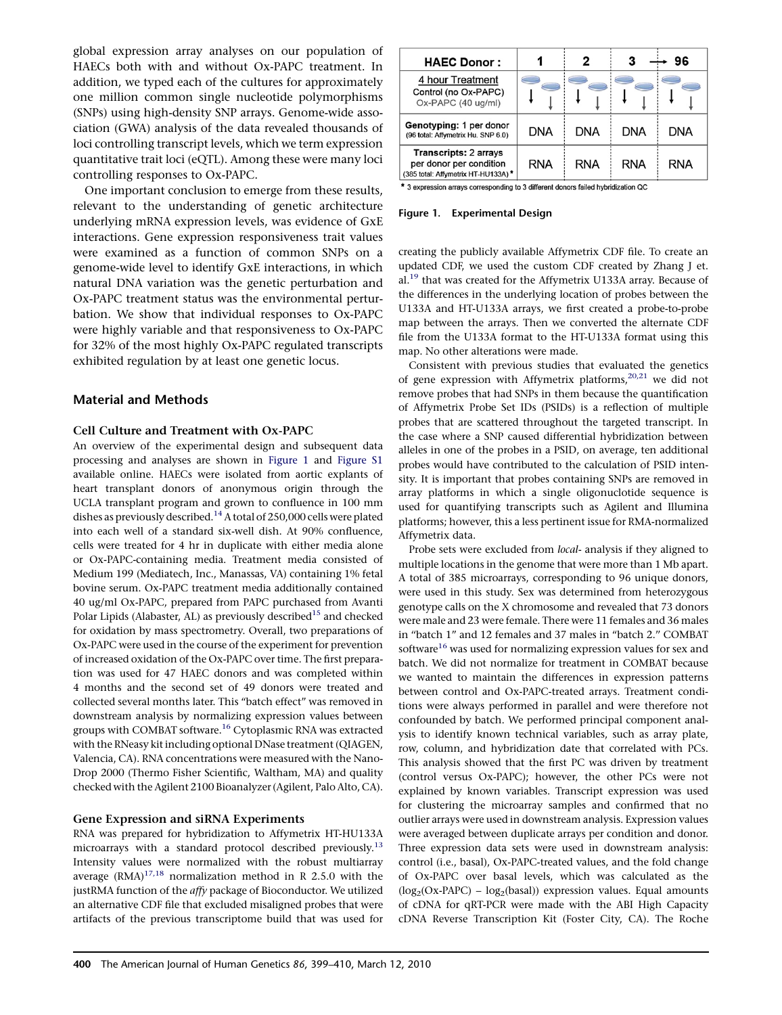global expression array analyses on our population of HAECs both with and without Ox-PAPC treatment. In addition, we typed each of the cultures for approximately one million common single nucleotide polymorphisms (SNPs) using high-density SNP arrays. Genome-wide association (GWA) analysis of the data revealed thousands of loci controlling transcript levels, which we term expression quantitative trait loci (eQTL). Among these were many loci controlling responses to Ox-PAPC.

One important conclusion to emerge from these results, relevant to the understanding of genetic architecture underlying mRNA expression levels, was evidence of GxE interactions. Gene expression responsiveness trait values were examined as a function of common SNPs on a genome-wide level to identify GxE interactions, in which natural DNA variation was the genetic perturbation and Ox-PAPC treatment status was the environmental perturbation. We show that individual responses to Ox-PAPC were highly variable and that responsiveness to Ox-PAPC for 32% of the most highly Ox-PAPC regulated transcripts exhibited regulation by at least one genetic locus.

### Material and Methods

### Cell Culture and Treatment with Ox-PAPC

An overview of the experimental design and subsequent data processing and analyses are shown in Figure 1 and Figure S1 available online. HAECs were isolated from aortic explants of heart transplant donors of anonymous origin through the UCLA transplant program and grown to confluence in 100 mm dishes as previously described.<sup>[14](#page-10-0)</sup> A total of 250,000 cells were plated into each well of a standard six-well dish. At 90% confluence, cells were treated for 4 hr in duplicate with either media alone or Ox-PAPC-containing media. Treatment media consisted of Medium 199 (Mediatech, Inc., Manassas, VA) containing 1% fetal bovine serum. Ox-PAPC treatment media additionally contained 40 ug/ml Ox-PAPC, prepared from PAPC purchased from Avanti Polar Lipids (Alabaster, AL) as previously described<sup>[15](#page-10-0)</sup> and checked for oxidation by mass spectrometry. Overall, two preparations of Ox-PAPC were used in the course of the experiment for prevention of increased oxidation of the Ox-PAPC over time. The first preparation was used for 47 HAEC donors and was completed within 4 months and the second set of 49 donors were treated and collected several months later. This ''batch effect'' was removed in downstream analysis by normalizing expression values between groups with COMBAT software[.16](#page-10-0) Cytoplasmic RNA was extracted with the RNeasy kit including optional DNase treatment (QIAGEN, Valencia, CA). RNA concentrations were measured with the Nano-Drop 2000 (Thermo Fisher Scientific, Waltham, MA) and quality checked with the Agilent 2100 Bioanalyzer (Agilent, Palo Alto, CA).

### Gene Expression and siRNA Experiments

RNA was prepared for hybridization to Affymetrix HT-HU133A microarrays with a standard protocol described previously.<sup>[13](#page-10-0)</sup> Intensity values were normalized with the robust multiarray average  $(RMA)^{17,18}$  normalization method in R 2.5.0 with the justRMA function of the affy package of Bioconductor. We utilized an alternative CDF file that excluded misaligned probes that were artifacts of the previous transcriptome build that was used for

| <b>HAEC Donor:</b>                                                                             |            | 2   | 3          | 96         |
|------------------------------------------------------------------------------------------------|------------|-----|------------|------------|
| 4 hour Treatment<br>Control (no Ox-PAPC)<br>Ox-PAPC (40 ug/ml)                                 |            |     |            |            |
| Genotyping: 1 per donor<br>(96 total: Affymetrix Hu. SNP 6.0)                                  | DNA        | DNA | DNA        | <b>DNA</b> |
| <b>Transcripts: 2 arrays</b><br>per donor per condition<br>(385 total: Affymetrix HT-HU133A) * | <b>RNA</b> | RNA | <b>RNA</b> | <b>RNA</b> |

\* 3 expression arrays corresponding to 3 different donors failed hybridization QC

#### Figure 1. Experimental Design

creating the publicly available Affymetrix CDF file. To create an updated CDF, we used the custom CDF created by Zhang J et. al.<sup>19</sup> that was created for the Affymetrix U133A array. Because of the differences in the underlying location of probes between the U133A and HT-U133A arrays, we first created a probe-to-probe map between the arrays. Then we converted the alternate CDF file from the U133A format to the HT-U133A format using this map. No other alterations were made.

Consistent with previous studies that evaluated the genetics of gene expression with Affymetrix platforms, $20,21$  we did not remove probes that had SNPs in them because the quantification of Affymetrix Probe Set IDs (PSIDs) is a reflection of multiple probes that are scattered throughout the targeted transcript. In the case where a SNP caused differential hybridization between alleles in one of the probes in a PSID, on average, ten additional probes would have contributed to the calculation of PSID intensity. It is important that probes containing SNPs are removed in array platforms in which a single oligonuclotide sequence is used for quantifying transcripts such as Agilent and Illumina platforms; however, this a less pertinent issue for RMA-normalized Affymetrix data.

Probe sets were excluded from local- analysis if they aligned to multiple locations in the genome that were more than 1 Mb apart. A total of 385 microarrays, corresponding to 96 unique donors, were used in this study. Sex was determined from heterozygous genotype calls on the X chromosome and revealed that 73 donors were male and 23 were female. There were 11 females and 36 males in ''batch 1'' and 12 females and 37 males in ''batch 2.'' COMBAT software<sup>[16](#page-10-0)</sup> was used for normalizing expression values for sex and batch. We did not normalize for treatment in COMBAT because we wanted to maintain the differences in expression patterns between control and Ox-PAPC-treated arrays. Treatment conditions were always performed in parallel and were therefore not confounded by batch. We performed principal component analysis to identify known technical variables, such as array plate, row, column, and hybridization date that correlated with PCs. This analysis showed that the first PC was driven by treatment (control versus Ox-PAPC); however, the other PCs were not explained by known variables. Transcript expression was used for clustering the microarray samples and confirmed that no outlier arrays were used in downstream analysis. Expression values were averaged between duplicate arrays per condition and donor. Three expression data sets were used in downstream analysis: control (i.e., basal), Ox-PAPC-treated values, and the fold change of Ox-PAPC over basal levels, which was calculated as the  $(log_2(Ox-PAPC) - log_2(basal))$  expression values. Equal amounts of cDNA for qRT-PCR were made with the ABI High Capacity cDNA Reverse Transcription Kit (Foster City, CA). The Roche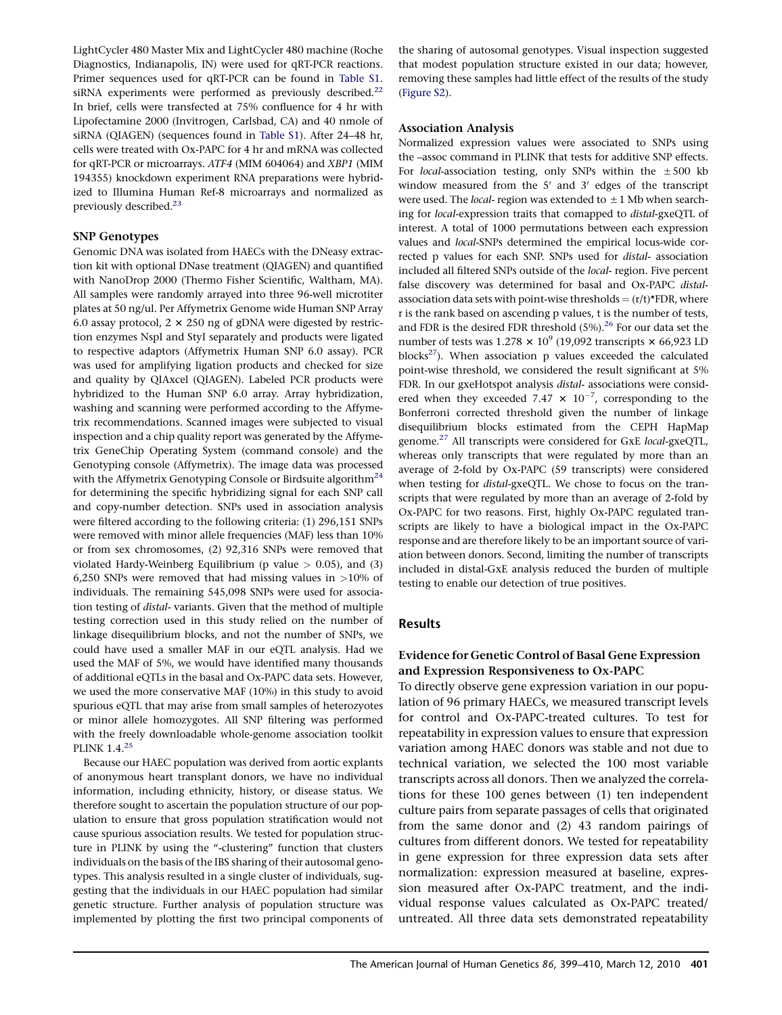LightCycler 480 Master Mix and LightCycler 480 machine (Roche Diagnostics, Indianapolis, IN) were used for qRT-PCR reactions. Primer sequences used for qRT-PCR can be found in Table S1. siRNA experiments were performed as previously described. $^{22}$  $^{22}$  $^{22}$ In brief, cells were transfected at 75% confluence for 4 hr with Lipofectamine 2000 (Invitrogen, Carlsbad, CA) and 40 nmole of siRNA (QIAGEN) (sequences found in Table S1). After 24–48 hr, cells were treated with Ox-PAPC for 4 hr and mRNA was collected for qRT-PCR or microarrays. ATF4 (MIM 604064) and XBP1 (MIM 194355) knockdown experiment RNA preparations were hybridized to Illumina Human Ref-8 microarrays and normalized as previously described.<sup>23</sup>

## SNP Genotypes

Genomic DNA was isolated from HAECs with the DNeasy extraction kit with optional DNase treatment (QIAGEN) and quantified with NanoDrop 2000 (Thermo Fisher Scientific, Waltham, MA). All samples were randomly arrayed into three 96-well microtiter plates at 50 ng/ul. Per Affymetrix Genome wide Human SNP Array 6.0 assay protocol,  $2 \times 250$  ng of gDNA were digested by restriction enzymes NspI and StyI separately and products were ligated to respective adaptors (Affymetrix Human SNP 6.0 assay). PCR was used for amplifying ligation products and checked for size and quality by QIAxcel (QIAGEN). Labeled PCR products were hybridized to the Human SNP 6.0 array. Array hybridization, washing and scanning were performed according to the Affymetrix recommendations. Scanned images were subjected to visual inspection and a chip quality report was generated by the Affymetrix GeneChip Operating System (command console) and the Genotyping console (Affymetrix). The image data was processed with the Affymetrix Genotyping Console or Birdsuite algorithm<sup>[24](#page-10-0)</sup> for determining the specific hybridizing signal for each SNP call and copy-number detection. SNPs used in association analysis were filtered according to the following criteria: (1) 296,151 SNPs were removed with minor allele frequencies (MAF) less than 10% or from sex chromosomes, (2) 92,316 SNPs were removed that violated Hardy-Weinberg Equilibrium (p value  $> 0.05$ ), and (3) 6,250 SNPs were removed that had missing values in  $>10\%$  of individuals. The remaining 545,098 SNPs were used for association testing of *distal-* variants. Given that the method of multiple testing correction used in this study relied on the number of linkage disequilibrium blocks, and not the number of SNPs, we could have used a smaller MAF in our eQTL analysis. Had we used the MAF of 5%, we would have identified many thousands of additional eQTLs in the basal and Ox-PAPC data sets. However, we used the more conservative MAF (10%) in this study to avoid spurious eQTL that may arise from small samples of heterozyotes or minor allele homozygotes. All SNP filtering was performed with the freely downloadable whole-genome association toolkit PLINK 1.4.<sup>[25](#page-10-0)</sup>

Because our HAEC population was derived from aortic explants of anonymous heart transplant donors, we have no individual information, including ethnicity, history, or disease status. We therefore sought to ascertain the population structure of our population to ensure that gross population stratification would not cause spurious association results. We tested for population structure in PLINK by using the "-clustering" function that clusters individuals on the basis of the IBS sharing of their autosomal genotypes. This analysis resulted in a single cluster of individuals, suggesting that the individuals in our HAEC population had similar genetic structure. Further analysis of population structure was implemented by plotting the first two principal components of

the sharing of autosomal genotypes. Visual inspection suggested that modest population structure existed in our data; however, removing these samples had little effect of the results of the study (Figure S2).

# Association Analysis

Normalized expression values were associated to SNPs using the –assoc command in PLINK that tests for additive SNP effects. For local-association testing, only SNPs within the  $\pm 500$  kb window measured from the  $5'$  and  $3'$  edges of the transcript were used. The *local*- region was extended to  $\pm 1$  Mb when searching for local-expression traits that comapped to distal-gxeQTL of interest. A total of 1000 permutations between each expression values and local-SNPs determined the empirical locus-wide corrected p values for each SNP. SNPs used for distal- association included all filtered SNPs outside of the local- region. Five percent false discovery was determined for basal and Ox-PAPC distalassociation data sets with point-wise thresholds =  $(r/t)*FDR$ , where r is the rank based on ascending p values, t is the number of tests, and FDR is the desired FDR threshold  $(5%)$ .<sup>26</sup> For our data set the number of tests was  $1.278 \times 10^9$  (19,092 transcripts  $\times$  66,923 LD blocks $^{27}$ ). When association p values exceeded the calculated point-wise threshold, we considered the result significant at 5% FDR. In our gxeHotspot analysis distal- associations were considered when they exceeded 7.47  $\times$  10<sup>-7</sup>, corresponding to the Bonferroni corrected threshold given the number of linkage disequilibrium blocks estimated from the CEPH HapMap genome.<sup>[27](#page-10-0)</sup> All transcripts were considered for GxE local-gxeQTL, whereas only transcripts that were regulated by more than an average of 2-fold by Ox-PAPC (59 transcripts) were considered when testing for *distal-gxeQTL*. We chose to focus on the transcripts that were regulated by more than an average of 2-fold by Ox-PAPC for two reasons. First, highly Ox-PAPC regulated transcripts are likely to have a biological impact in the Ox-PAPC response and are therefore likely to be an important source of variation between donors. Second, limiting the number of transcripts included in distal-GxE analysis reduced the burden of multiple testing to enable our detection of true positives.

# Results

# Evidence for Genetic Control of Basal Gene Expression and Expression Responsiveness to Ox-PAPC

To directly observe gene expression variation in our population of 96 primary HAECs, we measured transcript levels for control and Ox-PAPC-treated cultures. To test for repeatability in expression values to ensure that expression variation among HAEC donors was stable and not due to technical variation, we selected the 100 most variable transcripts across all donors. Then we analyzed the correlations for these 100 genes between (1) ten independent culture pairs from separate passages of cells that originated from the same donor and (2) 43 random pairings of cultures from different donors. We tested for repeatability in gene expression for three expression data sets after normalization: expression measured at baseline, expression measured after Ox-PAPC treatment, and the individual response values calculated as Ox-PAPC treated/ untreated. All three data sets demonstrated repeatability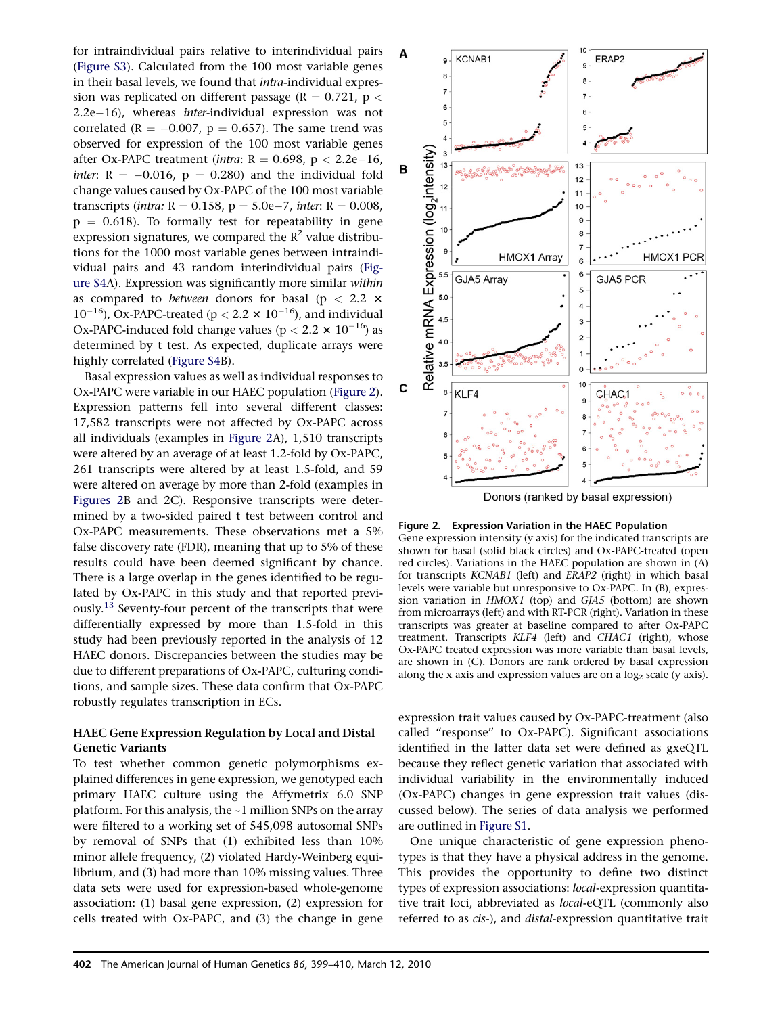<span id="page-3-0"></span>for intraindividual pairs relative to interindividual pairs (Figure S3). Calculated from the 100 most variable genes in their basal levels, we found that intra-individual expression was replicated on different passage ( $R = 0.721$ ,  $p <$ 2.2e–16), whereas *inter*-individual expression was not correlated ( $R = -0.007$ ,  $p = 0.657$ ). The same trend was observed for expression of the 100 most variable genes after Ox-PAPC treatment (intra:  $R = 0.698$ ,  $p < 2.2e-16$ , *inter*:  $R = -0.016$ ,  $p = 0.280$  and the individual fold change values caused by Ox-PAPC of the 100 most variable transcripts (*intra:*  $R = 0.158$ ,  $p = 5.0e-7$ , *inter*:  $R = 0.008$ ,  $p = 0.618$ ). To formally test for repeatability in gene expression signatures, we compared the  $R^2$  value distributions for the 1000 most variable genes between intraindividual pairs and 43 random interindividual pairs (Figure S4A). Expression was significantly more similar within as compared to *between* donors for basal ( $p < 2.2$   $\times$  $10^{-16}$ ), Ox-PAPC-treated (p < 2.2  $\times$   $10^{-16}$ ), and individual Ox-PAPC-induced fold change values ( $p < 2.2 \times 10^{-16}$ ) as determined by t test. As expected, duplicate arrays were highly correlated (Figure S4B).

Basal expression values as well as individual responses to Ox-PAPC were variable in our HAEC population (Figure 2). Expression patterns fell into several different classes: 17,582 transcripts were not affected by Ox-PAPC across all individuals (examples in Figure 2A), 1,510 transcripts were altered by an average of at least 1.2-fold by Ox-PAPC, 261 transcripts were altered by at least 1.5-fold, and 59 were altered on average by more than 2-fold (examples in Figures 2B and 2C). Responsive transcripts were determined by a two-sided paired t test between control and Ox-PAPC measurements. These observations met a 5% false discovery rate (FDR), meaning that up to 5% of these results could have been deemed significant by chance. There is a large overlap in the genes identified to be regulated by Ox-PAPC in this study and that reported previously.<sup>13</sup> Seventy-four percent of the transcripts that were differentially expressed by more than 1.5-fold in this study had been previously reported in the analysis of 12 HAEC donors. Discrepancies between the studies may be due to different preparations of Ox-PAPC, culturing conditions, and sample sizes. These data confirm that Ox-PAPC robustly regulates transcription in ECs.

# HAEC Gene Expression Regulation by Local and Distal Genetic Variants

To test whether common genetic polymorphisms explained differences in gene expression, we genotyped each primary HAEC culture using the Affymetrix 6.0 SNP platform. For this analysis, the ~1 million SNPs on the array were filtered to a working set of 545,098 autosomal SNPs by removal of SNPs that (1) exhibited less than 10% minor allele frequency, (2) violated Hardy-Weinberg equilibrium, and (3) had more than 10% missing values. Three data sets were used for expression-based whole-genome association: (1) basal gene expression, (2) expression for cells treated with Ox-PAPC, and (3) the change in gene



Donors (ranked by basal expression)

#### Figure 2. Expression Variation in the HAEC Population

Gene expression intensity (y axis) for the indicated transcripts are shown for basal (solid black circles) and Ox-PAPC-treated (open red circles). Variations in the HAEC population are shown in (A) for transcripts KCNAB1 (left) and ERAP2 (right) in which basal levels were variable but unresponsive to Ox-PAPC. In (B), expression variation in HMOX1 (top) and GJA5 (bottom) are shown from microarrays (left) and with RT-PCR (right). Variation in these transcripts was greater at baseline compared to after Ox-PAPC treatment. Transcripts KLF4 (left) and CHAC1 (right), whose Ox-PAPC treated expression was more variable than basal levels, are shown in (C). Donors are rank ordered by basal expression along the x axis and expression values are on a  $log<sub>2</sub>$  scale (y axis).

expression trait values caused by Ox-PAPC-treatment (also called ''response'' to Ox-PAPC). Significant associations identified in the latter data set were defined as gxeQTL because they reflect genetic variation that associated with individual variability in the environmentally induced (Ox-PAPC) changes in gene expression trait values (discussed below). The series of data analysis we performed are outlined in Figure S1.

One unique characteristic of gene expression phenotypes is that they have a physical address in the genome. This provides the opportunity to define two distinct types of expression associations: local-expression quantitative trait loci, abbreviated as local-eQTL (commonly also referred to as *cis-*), and *distal-expression* quantitative trait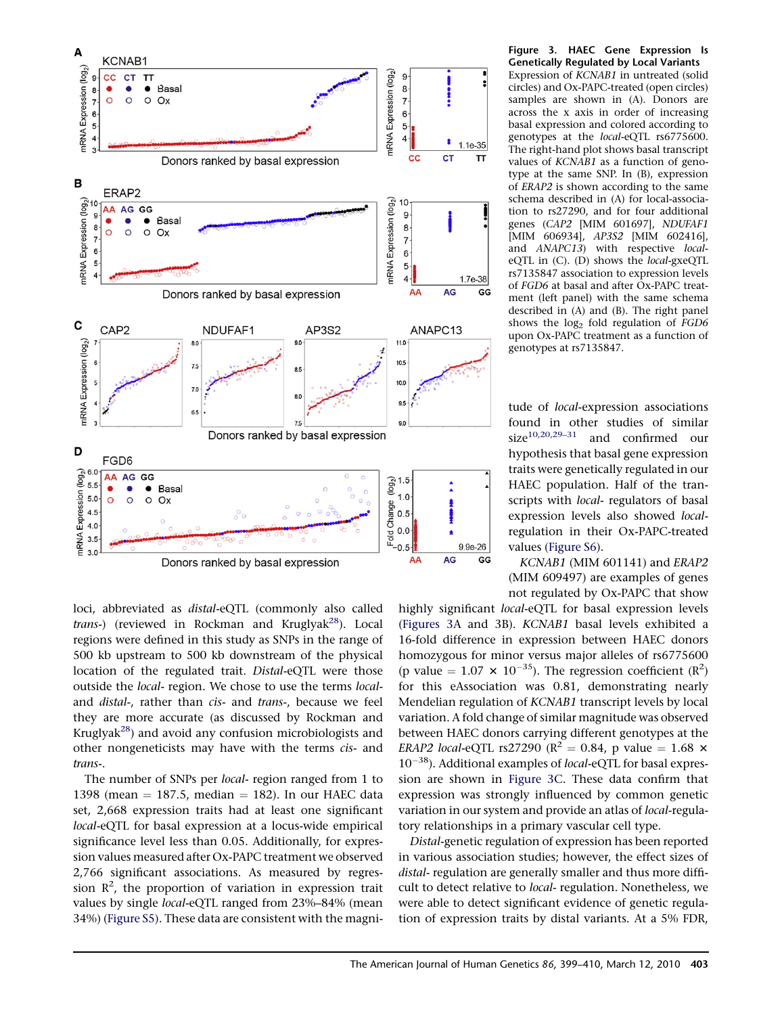<span id="page-4-0"></span>

loci, abbreviated as distal-eQTL (commonly also called trans-) (reviewed in Rockman and Kruglyak<sup>28</sup>). Local regions were defined in this study as SNPs in the range of 500 kb upstream to 500 kb downstream of the physical location of the regulated trait. Distal-eQTL were those outside the local- region. We chose to use the terms localand *distal-*, rather than cis- and trans-, because we feel they are more accurate (as discussed by Rockman and Kruglyak[28\)](#page-10-0) and avoid any confusion microbiologists and other nongeneticists may have with the terms cis- and trans-.

The number of SNPs per local- region ranged from 1 to 1398 (mean  $= 187.5$ , median  $= 182$ ). In our HAEC data set, 2,668 expression traits had at least one significant local-eQTL for basal expression at a locus-wide empirical significance level less than 0.05. Additionally, for expression values measured after Ox-PAPC treatment we observed 2,766 significant associations. As measured by regression  $\mathbb{R}^2$ , the proportion of variation in expression trait values by single local-eQTL ranged from 23%–84% (mean 34%) (Figure S5). These data are consistent with the magniFigure 3. HAEC Gene Expression Is Genetically Regulated by Local Variants Expression of KCNAB1 in untreated (solid circles) and Ox-PAPC-treated (open circles) samples are shown in (A). Donors are across the x axis in order of increasing basal expression and colored according to genotypes at the local-eQTL rs6775600. The right-hand plot shows basal transcript values of KCNAB1 as a function of genotype at the same SNP. In (B), expression of ERAP2 is shown according to the same schema described in (A) for local-association to rs27290, and for four additional genes (CAP2 [MIM 601697], NDUFAF1 [MIM 606934], AP3S2 [MIM 602416], and ANAPC13) with respective localeQTL in (C). (D) shows the local-gxeQTL rs7135847 association to expression levels of FGD6 at basal and after Ox-PAPC treatment (left panel) with the same schema described in (A) and (B). The right panel shows the  $log<sub>2</sub>$  fold regulation of  $FGD6$ upon Ox-PAPC treatment as a function of genotypes at rs7135847.

tude of local-expression associations found in other studies of similar  $size^{10,20,29-31}$  and confirmed our and confirmed our hypothesis that basal gene expression traits were genetically regulated in our HAEC population. Half of the transcripts with local- regulators of basal expression levels also showed localregulation in their Ox-PAPC-treated values (Figure S6).

KCNAB1 (MIM 601141) and ERAP2 (MIM 609497) are examples of genes not regulated by Ox-PAPC that show

highly significant *local*-eQTL for basal expression levels (Figures 3A and 3B). KCNAB1 basal levels exhibited a 16-fold difference in expression between HAEC donors homozygous for minor versus major alleles of rs6775600 (p value =  $1.07 \times 10^{-35}$ ). The regression coefficient (R<sup>2</sup>) for this eAssociation was 0.81, demonstrating nearly Mendelian regulation of KCNAB1 transcript levels by local variation. A fold change of similar magnitude was observed between HAEC donors carrying different genotypes at the ERAP2 local-eQTL rs27290 ( $R^2 = 0.84$ , p value = 1.68  $\times$ 10<sup>-38</sup>). Additional examples of local-eQTL for basal expression are shown in Figure 3C. These data confirm that expression was strongly influenced by common genetic variation in our system and provide an atlas of *local*-regulatory relationships in a primary vascular cell type.

Distal-genetic regulation of expression has been reported in various association studies; however, the effect sizes of distal- regulation are generally smaller and thus more difficult to detect relative to local- regulation. Nonetheless, we were able to detect significant evidence of genetic regulation of expression traits by distal variants. At a 5% FDR,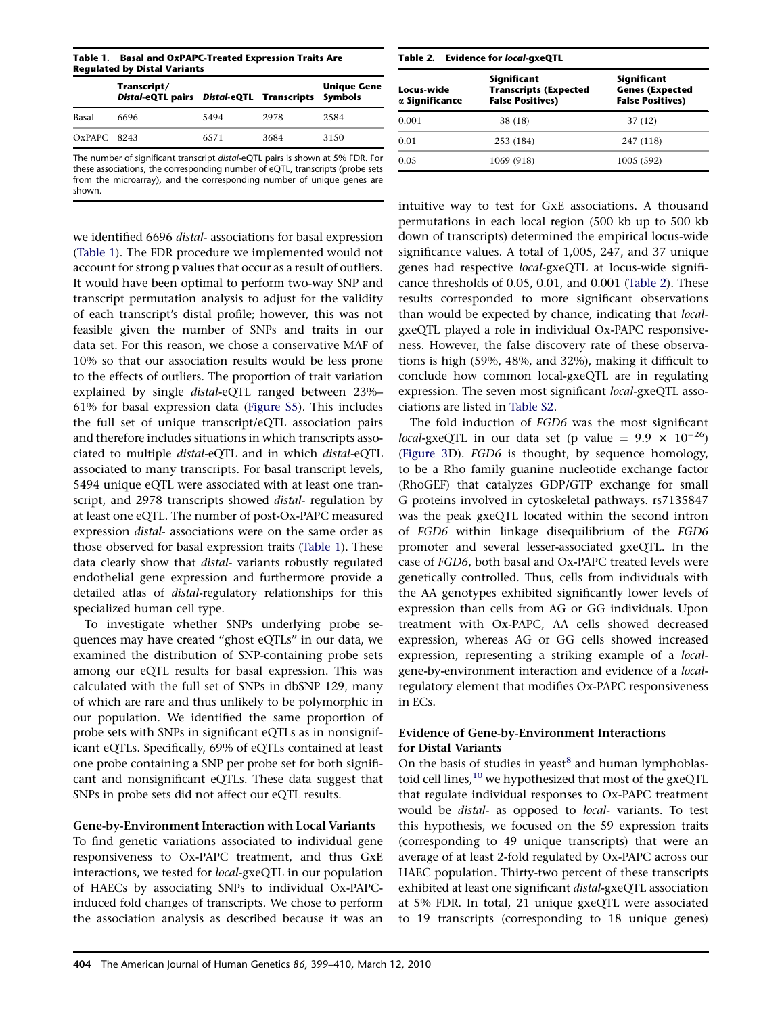<span id="page-5-0"></span>Table 1. Basal and OxPAPC-Treated Expression Traits Are Regulated by Distal Variants

|               | Transcript/<br>Distal-eQTL pairs Distal-eQTL Transcripts Symbols |      |      | <b>Unique Gene</b> |
|---------------|------------------------------------------------------------------|------|------|--------------------|
| Basal         | 6696                                                             | 5494 | 2978 | 2584               |
| $OxPAPC$ 8243 |                                                                  | 6571 | 3684 | 3150               |

The number of significant transcript *distal*-eQTL pairs is shown at 5% FDR. For these associations, the corresponding number of eQTL, transcripts (probe sets from the microarray), and the corresponding number of unique genes are shown.

we identified 6696 distal- associations for basal expression (Table 1). The FDR procedure we implemented would not account for strong p values that occur as a result of outliers. It would have been optimal to perform two-way SNP and transcript permutation analysis to adjust for the validity of each transcript's distal profile; however, this was not feasible given the number of SNPs and traits in our data set. For this reason, we chose a conservative MAF of 10% so that our association results would be less prone to the effects of outliers. The proportion of trait variation explained by single distal-eQTL ranged between 23%– 61% for basal expression data (Figure S5). This includes the full set of unique transcript/eQTL association pairs and therefore includes situations in which transcripts associated to multiple distal-eQTL and in which distal-eQTL associated to many transcripts. For basal transcript levels, 5494 unique eQTL were associated with at least one transcript, and 2978 transcripts showed *distal*- regulation by at least one eQTL. The number of post-Ox-PAPC measured expression distal- associations were on the same order as those observed for basal expression traits (Table 1). These data clearly show that distal- variants robustly regulated endothelial gene expression and furthermore provide a detailed atlas of distal-regulatory relationships for this specialized human cell type.

To investigate whether SNPs underlying probe sequences may have created ''ghost eQTLs'' in our data, we examined the distribution of SNP-containing probe sets among our eQTL results for basal expression. This was calculated with the full set of SNPs in dbSNP 129, many of which are rare and thus unlikely to be polymorphic in our population. We identified the same proportion of probe sets with SNPs in significant eQTLs as in nonsignificant eQTLs. Specifically, 69% of eQTLs contained at least one probe containing a SNP per probe set for both significant and nonsignificant eQTLs. These data suggest that SNPs in probe sets did not affect our eQTL results.

# Gene-by-Environment Interaction with Local Variants

To find genetic variations associated to individual gene responsiveness to Ox-PAPC treatment, and thus GxE interactions, we tested for local-gxeQTL in our population of HAECs by associating SNPs to individual Ox-PAPCinduced fold changes of transcripts. We chose to perform the association analysis as described because it was an

| Table 2. Evidence for local-gxeQTL |                                                                        |                                                                  |  |  |
|------------------------------------|------------------------------------------------------------------------|------------------------------------------------------------------|--|--|
| Locus-wide<br>α Significance       | Significant<br><b>Transcripts (Expected</b><br><b>False Positives)</b> | Significant<br><b>Genes (Expected</b><br><b>False Positives)</b> |  |  |
| 0.001                              | 38 (18)                                                                | 37 (12)                                                          |  |  |
| 0.01                               | 253 (184)                                                              | 247 (118)                                                        |  |  |
| 0.05                               | 1069 (918)                                                             | 1005 (592)                                                       |  |  |
|                                    |                                                                        |                                                                  |  |  |

intuitive way to test for GxE associations. A thousand permutations in each local region (500 kb up to 500 kb down of transcripts) determined the empirical locus-wide significance values. A total of 1,005, 247, and 37 unique genes had respective local-gxeQTL at locus-wide significance thresholds of 0.05, 0.01, and 0.001 (Table 2). These results corresponded to more significant observations than would be expected by chance, indicating that *local*gxeQTL played a role in individual Ox-PAPC responsiveness. However, the false discovery rate of these observations is high (59%, 48%, and 32%), making it difficult to conclude how common local-gxeQTL are in regulating expression. The seven most significant *local-gxeQTL* associations are listed in Table S2.

The fold induction of FGD6 was the most significant *local*-gxeQTL in our data set (p value =  $9.9 \times 10^{-26}$ ) ([Figure 3D](#page-4-0)). FGD6 is thought, by sequence homology, to be a Rho family guanine nucleotide exchange factor (RhoGEF) that catalyzes GDP/GTP exchange for small G proteins involved in cytoskeletal pathways. rs7135847 was the peak gxeQTL located within the second intron of FGD6 within linkage disequilibrium of the FGD6 promoter and several lesser-associated gxeQTL. In the case of FGD6, both basal and Ox-PAPC treated levels were genetically controlled. Thus, cells from individuals with the AA genotypes exhibited significantly lower levels of expression than cells from AG or GG individuals. Upon treatment with Ox-PAPC, AA cells showed decreased expression, whereas AG or GG cells showed increased expression, representing a striking example of a localgene-by-environment interaction and evidence of a localregulatory element that modifies Ox-PAPC responsiveness in ECs.

# Evidence of Gene-by-Environment Interactions for Distal Variants

On the basis of studies in yeast $8$  and human lymphoblas-toid cell lines,<sup>[10](#page-10-0)</sup> we hypothesized that most of the gxeQTL that regulate individual responses to Ox-PAPC treatment would be *distal*- as opposed to *local*- variants. To test this hypothesis, we focused on the 59 expression traits (corresponding to 49 unique transcripts) that were an average of at least 2-fold regulated by Ox-PAPC across our HAEC population. Thirty-two percent of these transcripts exhibited at least one significant distal-gxeQTL association at 5% FDR. In total, 21 unique gxeQTL were associated to 19 transcripts (corresponding to 18 unique genes)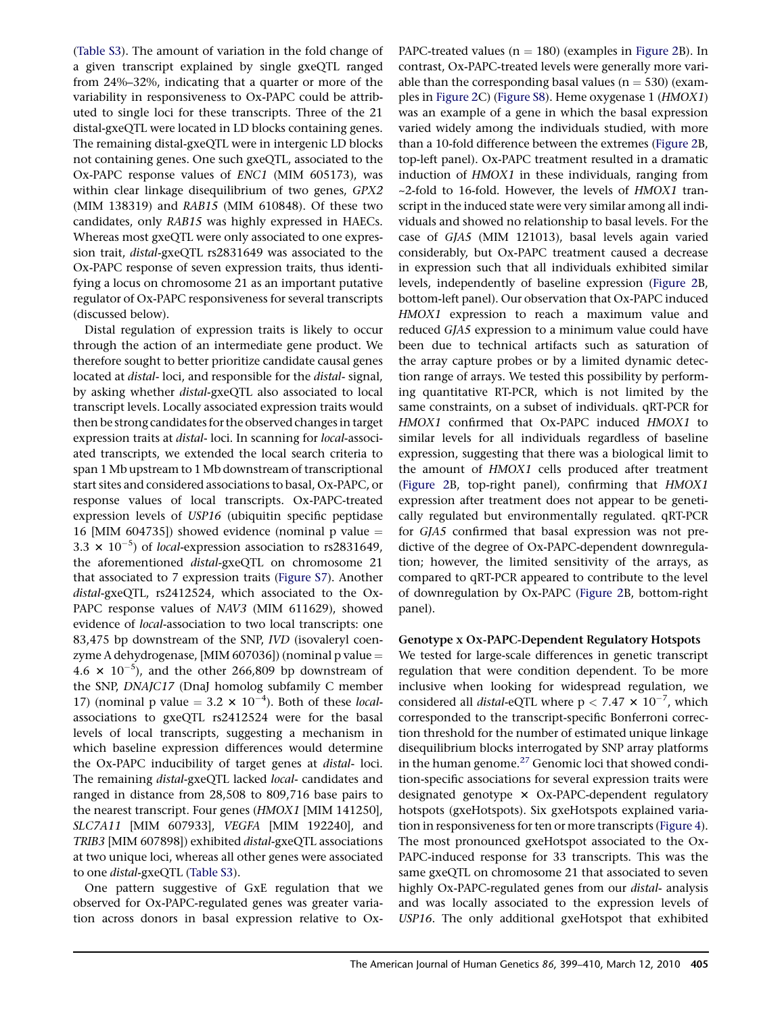(Table S3). The amount of variation in the fold change of a given transcript explained by single gxeQTL ranged from 24%–32%, indicating that a quarter or more of the variability in responsiveness to Ox-PAPC could be attributed to single loci for these transcripts. Three of the 21 distal-gxeQTL were located in LD blocks containing genes. The remaining distal-gxeQTL were in intergenic LD blocks not containing genes. One such gxeQTL, associated to the Ox-PAPC response values of ENC1 (MIM 605173), was within clear linkage disequilibrium of two genes, GPX2 (MIM 138319) and RAB15 (MIM 610848). Of these two candidates, only RAB15 was highly expressed in HAECs. Whereas most gxeQTL were only associated to one expression trait, distal-gxeQTL rs2831649 was associated to the Ox-PAPC response of seven expression traits, thus identifying a locus on chromosome 21 as an important putative regulator of Ox-PAPC responsiveness for several transcripts (discussed below).

Distal regulation of expression traits is likely to occur through the action of an intermediate gene product. We therefore sought to better prioritize candidate causal genes located at distal- loci, and responsible for the distal- signal, by asking whether distal-gxeQTL also associated to local transcript levels. Locally associated expression traits would then be strong candidates for the observed changes in target expression traits at distal- loci. In scanning for local-associated transcripts, we extended the local search criteria to span 1 Mb upstream to 1 Mb downstream of transcriptional start sites and considered associations to basal, Ox-PAPC, or response values of local transcripts. Ox-PAPC-treated expression levels of USP16 (ubiquitin specific peptidase 16 [MIM 604735]) showed evidence (nominal p value  $=$ 3.3  $\times$  10<sup>-5</sup>) of *local*-expression association to rs2831649, the aforementioned distal-gxeQTL on chromosome 21 that associated to 7 expression traits (Figure S7). Another distal-gxeQTL, rs2412524, which associated to the Ox-PAPC response values of NAV3 (MIM 611629), showed evidence of local-association to two local transcripts: one 83,475 bp downstream of the SNP, IVD (isovaleryl coenzyme A dehydrogenase, [MIM 607036]) (nominal p value  $=$ 4.6  $\times$  10<sup>-5</sup>), and the other 266,809 bp downstream of the SNP, DNAJC17 (DnaJ homolog subfamily C member 17) (nominal p value = 3.2  $\times$  10<sup>-4</sup>). Both of these *local*associations to gxeQTL rs2412524 were for the basal levels of local transcripts, suggesting a mechanism in which baseline expression differences would determine the Ox-PAPC inducibility of target genes at distal- loci. The remaining distal-gxeQTL lacked local- candidates and ranged in distance from 28,508 to 809,716 base pairs to the nearest transcript. Four genes (HMOX1 [MIM 141250], SLC7A11 [MIM 607933], VEGFA [MIM 192240], and TRIB3 [MIM 607898]) exhibited distal-gxeQTL associations at two unique loci, whereas all other genes were associated to one distal-gxeQTL (Table S3).

One pattern suggestive of GxE regulation that we observed for Ox-PAPC-regulated genes was greater variation across donors in basal expression relative to OxPAPC-treated values ( $n = 180$ ) (examples in [Figure 2B](#page-3-0)). In contrast, Ox-PAPC-treated levels were generally more variable than the corresponding basal values ( $n = 530$ ) (examples in [Figure 2C](#page-3-0)) (Figure S8). Heme oxygenase 1 (HMOX1) was an example of a gene in which the basal expression varied widely among the individuals studied, with more than a 10-fold difference between the extremes ([Figure 2B](#page-3-0), top-left panel). Ox-PAPC treatment resulted in a dramatic induction of HMOX1 in these individuals, ranging from ~2-fold to 16-fold. However, the levels of HMOX1 transcript in the induced state were very similar among all individuals and showed no relationship to basal levels. For the case of GJA5 (MIM 121013), basal levels again varied considerably, but Ox-PAPC treatment caused a decrease in expression such that all individuals exhibited similar levels, independently of baseline expression ([Figure 2B](#page-3-0), bottom-left panel). Our observation that Ox-PAPC induced HMOX1 expression to reach a maximum value and reduced GJA5 expression to a minimum value could have been due to technical artifacts such as saturation of the array capture probes or by a limited dynamic detection range of arrays. We tested this possibility by performing quantitative RT-PCR, which is not limited by the same constraints, on a subset of individuals. qRT-PCR for HMOX1 confirmed that Ox-PAPC induced HMOX1 to similar levels for all individuals regardless of baseline expression, suggesting that there was a biological limit to the amount of HMOX1 cells produced after treatment ([Figure 2B](#page-3-0), top-right panel), confirming that HMOX1 expression after treatment does not appear to be genetically regulated but environmentally regulated. qRT-PCR for GJA5 confirmed that basal expression was not predictive of the degree of Ox-PAPC-dependent downregulation; however, the limited sensitivity of the arrays, as compared to qRT-PCR appeared to contribute to the level of downregulation by Ox-PAPC [\(Figure 2](#page-3-0)B, bottom-right panel).

### Genotype x Ox-PAPC-Dependent Regulatory Hotspots

We tested for large-scale differences in genetic transcript regulation that were condition dependent. To be more inclusive when looking for widespread regulation, we considered all *distal*-eQTL where  $p < 7.47 \times 10^{-7}$ , which corresponded to the transcript-specific Bonferroni correction threshold for the number of estimated unique linkage disequilibrium blocks interrogated by SNP array platforms in the human genome. $^{27}$  $^{27}$  $^{27}$  Genomic loci that showed condition-specific associations for several expression traits were designated genotype  $\times$  Ox-PAPC-dependent regulatory hotspots (gxeHotspots). Six gxeHotspots explained variation in responsiveness for ten or more transcripts ([Figure 4\)](#page-7-0). The most pronounced gxeHotspot associated to the Ox-PAPC-induced response for 33 transcripts. This was the same gxeQTL on chromosome 21 that associated to seven highly Ox-PAPC-regulated genes from our distal- analysis and was locally associated to the expression levels of USP16. The only additional gxeHotspot that exhibited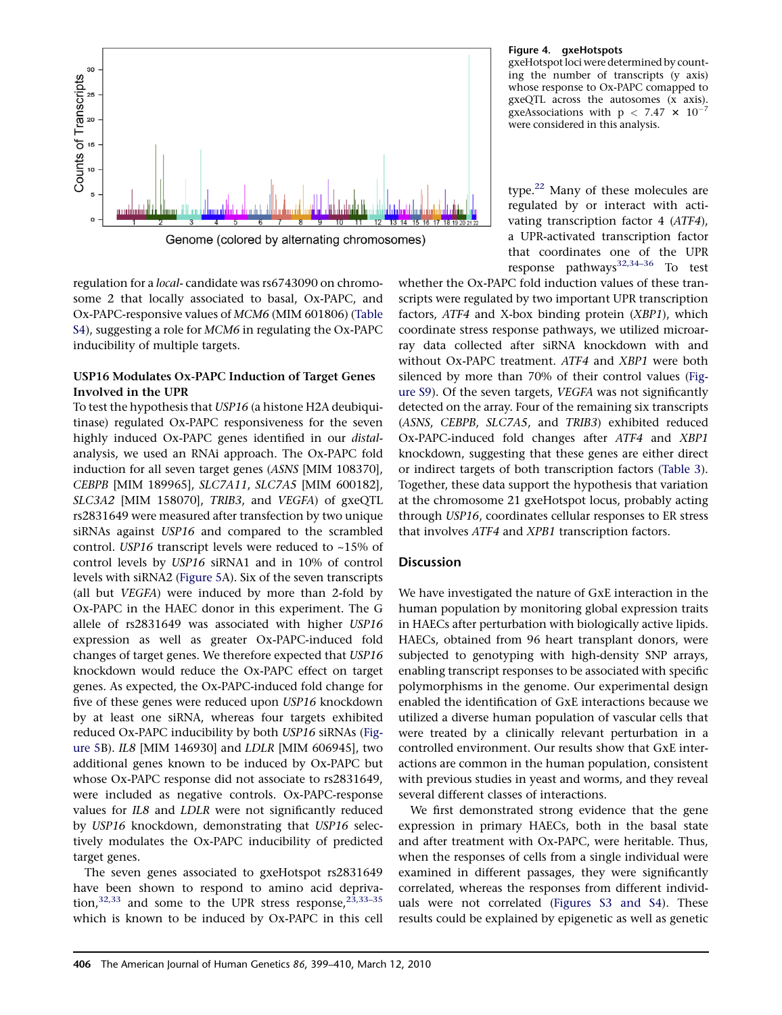<span id="page-7-0"></span>

regulation for a local- candidate was rs6743090 on chromosome 2 that locally associated to basal, Ox-PAPC, and Ox-PAPC-responsive values of MCM6 (MIM 601806) (Table S4), suggesting a role for MCM6 in regulating the Ox-PAPC

# USP16 Modulates Ox-PAPC Induction of Target Genes Involved in the UPR

inducibility of multiple targets.

To test the hypothesis that USP16 (a histone H2A deubiquitinase) regulated Ox-PAPC responsiveness for the seven highly induced Ox-PAPC genes identified in our distalanalysis, we used an RNAi approach. The Ox-PAPC fold induction for all seven target genes (ASNS [MIM 108370], CEBPB [MIM 189965], SLC7A11, SLC7A5 [MIM 600182], SLC3A2 [MIM 158070], TRIB3, and VEGFA) of gxeQTL rs2831649 were measured after transfection by two unique siRNAs against USP16 and compared to the scrambled control. USP16 transcript levels were reduced to ~15% of control levels by USP16 siRNA1 and in 10% of control levels with siRNA2 ([Figure 5](#page-8-0)A). Six of the seven transcripts (all but VEGFA) were induced by more than 2-fold by Ox-PAPC in the HAEC donor in this experiment. The G allele of rs2831649 was associated with higher USP16 expression as well as greater Ox-PAPC-induced fold changes of target genes. We therefore expected that USP16 knockdown would reduce the Ox-PAPC effect on target genes. As expected, the Ox-PAPC-induced fold change for five of these genes were reduced upon USP16 knockdown by at least one siRNA, whereas four targets exhibited reduced Ox-PAPC inducibility by both USP16 siRNAs ([Fig](#page-8-0)[ure 5B](#page-8-0)). IL8 [MIM 146930] and LDLR [MIM 606945], two additional genes known to be induced by Ox-PAPC but whose Ox-PAPC response did not associate to rs2831649, were included as negative controls. Ox-PAPC-response values for IL8 and LDLR were not significantly reduced by USP16 knockdown, demonstrating that USP16 selectively modulates the Ox-PAPC inducibility of predicted target genes.

The seven genes associated to gxeHotspot rs2831649 have been shown to respond to amino acid deprivation, $32,33$  and some to the UPR stress response, $23,33-35$ which is known to be induced by Ox-PAPC in this cell

### Figure 4. gxeHotspots

gxeHotspot loci were determined by counting the number of transcripts (y axis) whose response to Ox-PAPC comapped to gxeQTL across the autosomes (x axis). gxeAssociations with  $p < 7.47 \times 10^{-7}$ were considered in this analysis.

type.<sup>[22](#page-10-0)</sup> Many of these molecules are regulated by or interact with activating transcription factor 4 (ATF4), a UPR-activated transcription factor that coordinates one of the UPR response pathways<sup>32,34-36</sup> To test

whether the Ox-PAPC fold induction values of these transcripts were regulated by two important UPR transcription factors, ATF4 and X-box binding protein (XBP1), which coordinate stress response pathways, we utilized microarray data collected after siRNA knockdown with and without Ox-PAPC treatment. ATF4 and XBP1 were both silenced by more than 70% of their control values (Figure S9). Of the seven targets, VEGFA was not significantly detected on the array. Four of the remaining six transcripts (ASNS, CEBPB, SLC7A5, and TRIB3) exhibited reduced Ox-PAPC-induced fold changes after ATF4 and XBP1 knockdown, suggesting that these genes are either direct or indirect targets of both transcription factors ([Table 3\)](#page-8-0). Together, these data support the hypothesis that variation at the chromosome 21 gxeHotspot locus, probably acting through USP16, coordinates cellular responses to ER stress that involves ATF4 and XPB1 transcription factors.

# **Discussion**

We have investigated the nature of GxE interaction in the human population by monitoring global expression traits in HAECs after perturbation with biologically active lipids. HAECs, obtained from 96 heart transplant donors, were subjected to genotyping with high-density SNP arrays, enabling transcript responses to be associated with specific polymorphisms in the genome. Our experimental design enabled the identification of GxE interactions because we utilized a diverse human population of vascular cells that were treated by a clinically relevant perturbation in a controlled environment. Our results show that GxE interactions are common in the human population, consistent with previous studies in yeast and worms, and they reveal several different classes of interactions.

We first demonstrated strong evidence that the gene expression in primary HAECs, both in the basal state and after treatment with Ox-PAPC, were heritable. Thus, when the responses of cells from a single individual were examined in different passages, they were significantly correlated, whereas the responses from different individuals were not correlated (Figures S3 and S4). These results could be explained by epigenetic as well as genetic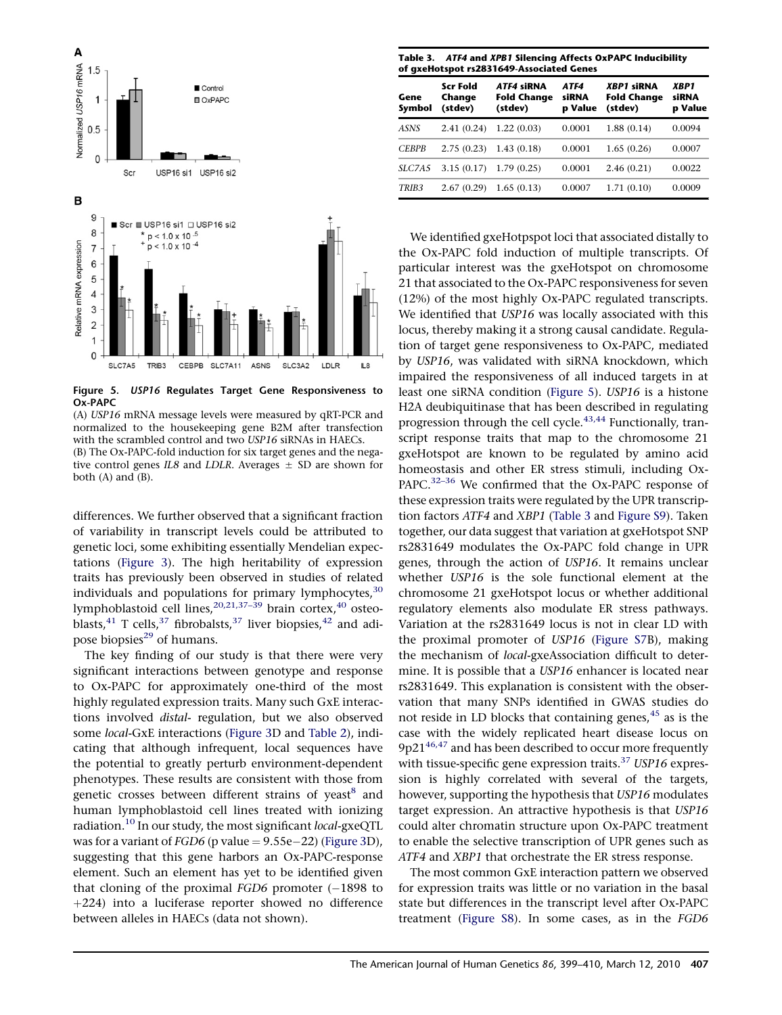<span id="page-8-0"></span>

Figure 5. USP16 Regulates Target Gene Responsiveness to Ox-PAPC

(A) USP16 mRNA message levels were measured by qRT-PCR and normalized to the housekeeping gene B2M after transfection with the scrambled control and two USP16 siRNAs in HAECs. (B) The Ox-PAPC-fold induction for six target genes and the negative control genes IL8 and LDLR. Averages  $\pm$  SD are shown for

both (A) and (B).

differences. We further observed that a significant fraction of variability in transcript levels could be attributed to genetic loci, some exhibiting essentially Mendelian expectations ([Figure 3](#page-4-0)). The high heritability of expression traits has previously been observed in studies of related individuals and populations for primary lymphocytes,  $30$ lymphoblastoid cell lines,<sup>[20,21,37–39](#page-10-0)</sup> brain cortex,<sup>[40](#page-11-0)</sup> osteo-blasts,<sup>[41](#page-11-0)</sup> T cells,<sup>[37](#page-11-0)</sup> fibrobalsts,<sup>37</sup> liver biopsies,<sup>[42](#page-11-0)</sup> and adi-pose biopsies<sup>[29](#page-10-0)</sup> of humans.

The key finding of our study is that there were very significant interactions between genotype and response to Ox-PAPC for approximately one-third of the most highly regulated expression traits. Many such GxE interactions involved distal- regulation, but we also observed some local-GxE interactions ([Figure 3D](#page-4-0) and [Table 2\)](#page-5-0), indicating that although infrequent, local sequences have the potential to greatly perturb environment-dependent phenotypes. These results are consistent with those from genetic crosses between different strains of yeast<sup>[8](#page-10-0)</sup> and human lymphoblastoid cell lines treated with ionizing radiation.<sup>[10](#page-10-0)</sup> In our study, the most significant local-gxeQTL was for a variant of  $FGD6$  (p value  $= 9.55$ e $-22$ ) ([Figure 3D](#page-4-0)), suggesting that this gene harbors an Ox-PAPC-response element. Such an element has yet to be identified given that cloning of the proximal  $FGD6$  promoter  $(-1898)$  to  $+224$ ) into a luciferase reporter showed no difference between alleles in HAECs (data not shown).

Table 3. ATF4 and XPB1 Silencing Affects OxPAPC Inducibility of gxeHotspot rs2831649-Associated Genes

| Gene<br>Symbol    | <b>Scr Fold</b><br>Change<br>(stdev) | <b>ATF4 siRNA</b><br><b>Fold Change</b><br>(stdev) | ATF4<br>siRNA<br>p Value | <b>XBP1 siRNA</b><br><b>Fold Change</b><br>(stdev) | XBP1<br><b>siRNA</b><br>p Value |
|-------------------|--------------------------------------|----------------------------------------------------|--------------------------|----------------------------------------------------|---------------------------------|
| ASNS              | 2.41(0.24)                           | 1.22(0.03)                                         | 0.0001                   | 1.88(0.14)                                         | 0.0094                          |
| <b>CEBPB</b>      | 2.75(0.23)                           | 1.43(0.18)                                         | 0.0001                   | 1.65(0.26)                                         | 0.0007                          |
| SLC7A5            | 3.15(0.17)                           | 1.79(0.25)                                         | 0.0001                   | 2.46(0.21)                                         | 0.0022                          |
| TRIB <sub>3</sub> | 2.67(0.29)                           | 1.65(0.13)                                         | 0.0007                   | 1.71(0.10)                                         | 0.0009                          |

We identified gxeHotpspot loci that associated distally to the Ox-PAPC fold induction of multiple transcripts. Of particular interest was the gxeHotspot on chromosome 21 that associated to the Ox-PAPC responsiveness for seven (12%) of the most highly Ox-PAPC regulated transcripts. We identified that USP16 was locally associated with this locus, thereby making it a strong causal candidate. Regulation of target gene responsiveness to Ox-PAPC, mediated by USP16, was validated with siRNA knockdown, which impaired the responsiveness of all induced targets in at least one siRNA condition (Figure 5). USP16 is a histone H2A deubiquitinase that has been described in regulating progression through the cell cycle.<sup>[43,44](#page-11-0)</sup> Functionally, transcript response traits that map to the chromosome 21 gxeHotspot are known to be regulated by amino acid homeostasis and other ER stress stimuli, including Ox-PAPC.<sup>[32–36](#page-10-0)</sup> We confirmed that the Ox-PAPC response of these expression traits were regulated by the UPR transcription factors ATF4 and XBP1 (Table 3 and Figure S9). Taken together, our data suggest that variation at gxeHotspot SNP rs2831649 modulates the Ox-PAPC fold change in UPR genes, through the action of USP16. It remains unclear whether USP16 is the sole functional element at the chromosome 21 gxeHotspot locus or whether additional regulatory elements also modulate ER stress pathways. Variation at the rs2831649 locus is not in clear LD with the proximal promoter of USP16 (Figure S7B), making the mechanism of local-gxeAssociation difficult to determine. It is possible that a USP16 enhancer is located near rs2831649. This explanation is consistent with the observation that many SNPs identified in GWAS studies do not reside in LD blocks that containing genes, $45$  as is the case with the widely replicated heart disease locus on  $9p21^{46,47}$  $9p21^{46,47}$  $9p21^{46,47}$  and has been described to occur more frequently with tissue-specific gene expression traits. $37$  USP16 expression is highly correlated with several of the targets, however, supporting the hypothesis that USP16 modulates target expression. An attractive hypothesis is that USP16 could alter chromatin structure upon Ox-PAPC treatment to enable the selective transcription of UPR genes such as ATF4 and XBP1 that orchestrate the ER stress response.

The most common GxE interaction pattern we observed for expression traits was little or no variation in the basal state but differences in the transcript level after Ox-PAPC treatment (Figure S8). In some cases, as in the FGD6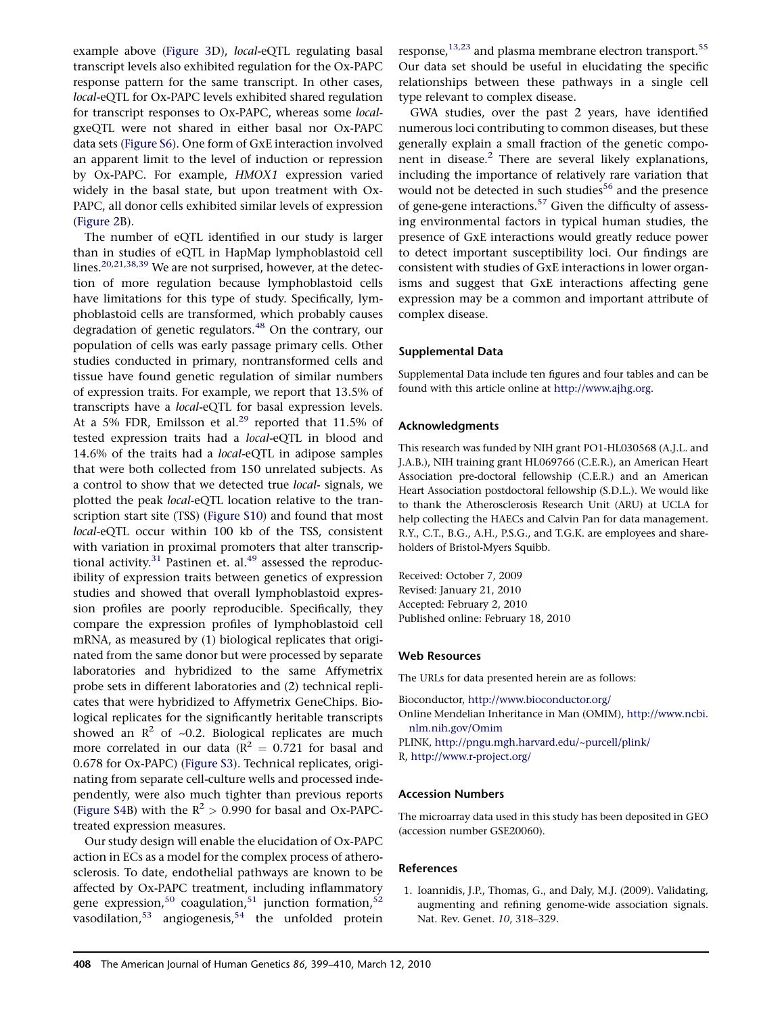<span id="page-9-0"></span>example above [\(Figure 3](#page-4-0)D), local-eQTL regulating basal transcript levels also exhibited regulation for the Ox-PAPC response pattern for the same transcript. In other cases, local-eQTL for Ox-PAPC levels exhibited shared regulation for transcript responses to Ox-PAPC, whereas some localgxeQTL were not shared in either basal nor Ox-PAPC data sets (Figure S6). One form of GxE interaction involved an apparent limit to the level of induction or repression by Ox-PAPC. For example, HMOX1 expression varied widely in the basal state, but upon treatment with Ox-PAPC, all donor cells exhibited similar levels of expression ([Figure 2B](#page-3-0)).

The number of eQTL identified in our study is larger than in studies of eQTL in HapMap lymphoblastoid cell lines.<sup>[20,21,38,39](#page-10-0)</sup> We are not surprised, however, at the detection of more regulation because lymphoblastoid cells have limitations for this type of study. Specifically, lymphoblastoid cells are transformed, which probably causes degradation of genetic regulators.<sup>[48](#page-11-0)</sup> On the contrary, our population of cells was early passage primary cells. Other studies conducted in primary, nontransformed cells and tissue have found genetic regulation of similar numbers of expression traits. For example, we report that 13.5% of transcripts have a local-eQTL for basal expression levels. At a 5% FDR, Emilsson et al.<sup>[29](#page-10-0)</sup> reported that 11.5% of tested expression traits had a local-eQTL in blood and 14.6% of the traits had a local-eQTL in adipose samples that were both collected from 150 unrelated subjects. As a control to show that we detected true local- signals, we plotted the peak local-eQTL location relative to the transcription start site (TSS) (Figure S10) and found that most local-eQTL occur within 100 kb of the TSS, consistent with variation in proximal promoters that alter transcriptional activity. $31$  Pastinen et. al. $49$  assessed the reproducibility of expression traits between genetics of expression studies and showed that overall lymphoblastoid expression profiles are poorly reproducible. Specifically, they compare the expression profiles of lymphoblastoid cell mRNA, as measured by (1) biological replicates that originated from the same donor but were processed by separate laboratories and hybridized to the same Affymetrix probe sets in different laboratories and (2) technical replicates that were hybridized to Affymetrix GeneChips. Biological replicates for the significantly heritable transcripts showed an  $\mathbb{R}^2$  of ~0.2. Biological replicates are much more correlated in our data ( $R^2 = 0.721$  for basal and 0.678 for Ox-PAPC) (Figure S3). Technical replicates, originating from separate cell-culture wells and processed independently, were also much tighter than previous reports (Figure S4B) with the  $R^2 > 0.990$  for basal and Ox-PAPCtreated expression measures.

Our study design will enable the elucidation of Ox-PAPC action in ECs as a model for the complex process of atherosclerosis. To date, endothelial pathways are known to be affected by Ox-PAPC treatment, including inflammatory gene expression,<sup>[50](#page-11-0)</sup> coagulation,<sup>[51](#page-11-0)</sup> junction formation,<sup>[52](#page-11-0)</sup>  $v$ asodilation,<sup>[53](#page-11-0)</sup> angiogenesis,<sup>[54](#page-11-0)</sup> the unfolded protein

response, $13,23$  and plasma membrane electron transport.<sup>[55](#page-11-0)</sup> Our data set should be useful in elucidating the specific relationships between these pathways in a single cell type relevant to complex disease.

GWA studies, over the past 2 years, have identified numerous loci contributing to common diseases, but these generally explain a small fraction of the genetic compo-nent in disease.<sup>[2](#page-10-0)</sup> There are several likely explanations, including the importance of relatively rare variation that would not be detected in such studies<sup>[56](#page-11-0)</sup> and the presence of gene-gene interactions.<sup>[57](#page-11-0)</sup> Given the difficulty of assessing environmental factors in typical human studies, the presence of GxE interactions would greatly reduce power to detect important susceptibility loci. Our findings are consistent with studies of GxE interactions in lower organisms and suggest that GxE interactions affecting gene expression may be a common and important attribute of complex disease.

### Supplemental Data

Supplemental Data include ten figures and four tables and can be found with this article online at <http://www.ajhg.org>.

#### Acknowledgments

This research was funded by NIH grant PO1-HL030568 (A.J.L. and J.A.B.), NIH training grant HL069766 (C.E.R.), an American Heart Association pre-doctoral fellowship (C.E.R.) and an American Heart Association postdoctoral fellowship (S.D.L.). We would like to thank the Atherosclerosis Research Unit (ARU) at UCLA for help collecting the HAECs and Calvin Pan for data management. R.Y., C.T., B.G., A.H., P.S.G., and T.G.K. are employees and shareholders of Bristol-Myers Squibb.

Received: October 7, 2009 Revised: January 21, 2010 Accepted: February 2, 2010 Published online: February 18, 2010

#### Web Resources

The URLs for data presented herein are as follows:

- Bioconductor, <http://www.bioconductor.org/>
- Online Mendelian Inheritance in Man (OMIM), [http://www.ncbi.](http://www.ncbi.nlm.nih.gov/Omim) [nlm.nih.gov/Omim](http://www.ncbi.nlm.nih.gov/Omim)
- PLINK, <http://pngu.mgh.harvard.edu/~purcell/plink/>

R, <http://www.r-project.org/>

#### Accession Numbers

The microarray data used in this study has been deposited in GEO (accession number GSE20060).

#### References

1. Ioannidis, J.P., Thomas, G., and Daly, M.J. (2009). Validating, augmenting and refining genome-wide association signals. Nat. Rev. Genet. 10, 318–329.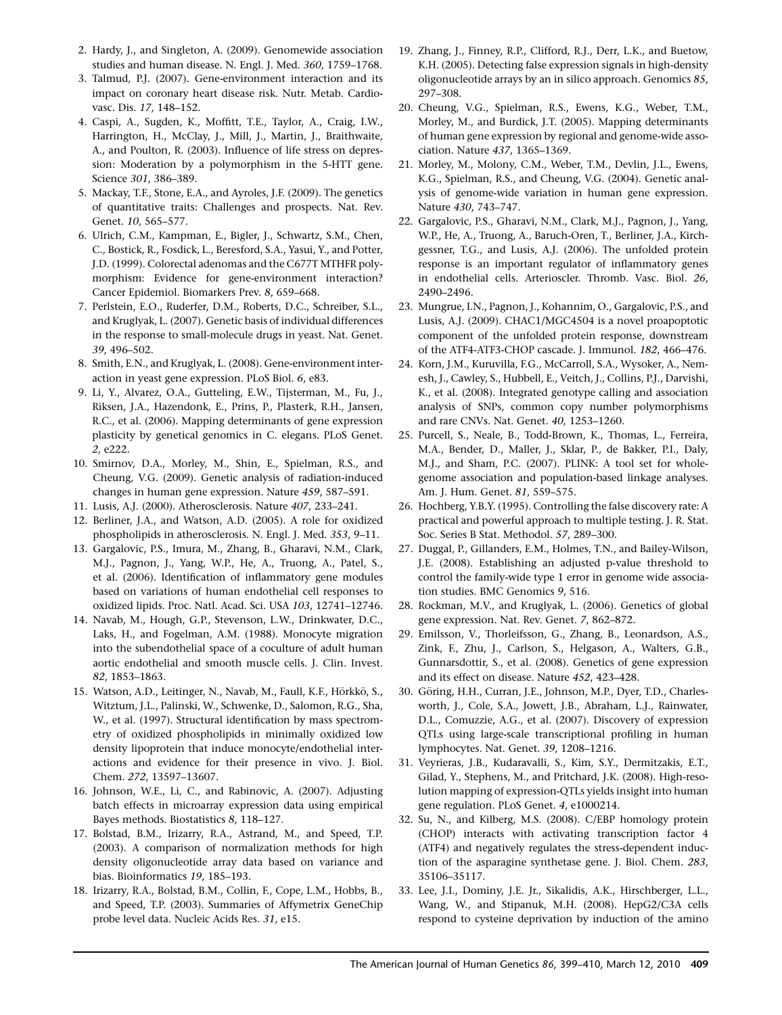- <span id="page-10-0"></span>2. Hardy, J., and Singleton, A. (2009). Genomewide association studies and human disease. N. Engl. J. Med. 360, 1759–1768.
- 3. Talmud, P.J. (2007). Gene-environment interaction and its impact on coronary heart disease risk. Nutr. Metab. Cardiovasc. Dis. 17, 148–152.
- 4. Caspi, A., Sugden, K., Moffitt, T.E., Taylor, A., Craig, I.W., Harrington, H., McClay, J., Mill, J., Martin, J., Braithwaite, A., and Poulton, R. (2003). Influence of life stress on depression: Moderation by a polymorphism in the 5-HTT gene. Science 301, 386–389.
- 5. Mackay, T.F., Stone, E.A., and Ayroles, J.F. (2009). The genetics of quantitative traits: Challenges and prospects. Nat. Rev. Genet. 10, 565–577.
- 6. Ulrich, C.M., Kampman, E., Bigler, J., Schwartz, S.M., Chen, C., Bostick, R., Fosdick, L., Beresford, S.A., Yasui, Y., and Potter, J.D. (1999). Colorectal adenomas and the C677T MTHFR polymorphism: Evidence for gene-environment interaction? Cancer Epidemiol. Biomarkers Prev. 8, 659–668.
- 7. Perlstein, E.O., Ruderfer, D.M., Roberts, D.C., Schreiber, S.L., and Kruglyak, L. (2007). Genetic basis of individual differences in the response to small-molecule drugs in yeast. Nat. Genet. 39, 496–502.
- 8. Smith, E.N., and Kruglyak, L. (2008). Gene-environment interaction in yeast gene expression. PLoS Biol. 6, e83.
- 9. Li, Y., Alvarez, O.A., Gutteling, E.W., Tijsterman, M., Fu, J., Riksen, J.A., Hazendonk, E., Prins, P., Plasterk, R.H., Jansen, R.C., et al. (2006). Mapping determinants of gene expression plasticity by genetical genomics in C. elegans. PLoS Genet. 2, e222.
- 10. Smirnov, D.A., Morley, M., Shin, E., Spielman, R.S., and Cheung, V.G. (2009). Genetic analysis of radiation-induced changes in human gene expression. Nature 459, 587–591.
- 11. Lusis, A.J. (2000). Atherosclerosis. Nature 407, 233–241.
- 12. Berliner, J.A., and Watson, A.D. (2005). A role for oxidized phospholipids in atherosclerosis. N. Engl. J. Med. 353, 9–11.
- 13. Gargalovic, P.S., Imura, M., Zhang, B., Gharavi, N.M., Clark, M.J., Pagnon, J., Yang, W.P., He, A., Truong, A., Patel, S., et al. (2006). Identification of inflammatory gene modules based on variations of human endothelial cell responses to oxidized lipids. Proc. Natl. Acad. Sci. USA 103, 12741–12746.
- 14. Navab, M., Hough, G.P., Stevenson, L.W., Drinkwater, D.C., Laks, H., and Fogelman, A.M. (1988). Monocyte migration into the subendothelial space of a coculture of adult human aortic endothelial and smooth muscle cells. J. Clin. Invest. 82, 1853–1863.
- 15. Watson, A.D., Leitinger, N., Navab, M., Faull, K.F., Hörkkö, S., Witztum, J.L., Palinski, W., Schwenke, D., Salomon, R.G., Sha, W., et al. (1997). Structural identification by mass spectrometry of oxidized phospholipids in minimally oxidized low density lipoprotein that induce monocyte/endothelial interactions and evidence for their presence in vivo. J. Biol. Chem. 272, 13597–13607.
- 16. Johnson, W.E., Li, C., and Rabinovic, A. (2007). Adjusting batch effects in microarray expression data using empirical Bayes methods. Biostatistics 8, 118–127.
- 17. Bolstad, B.M., Irizarry, R.A., Astrand, M., and Speed, T.P. (2003). A comparison of normalization methods for high density oligonucleotide array data based on variance and bias. Bioinformatics 19, 185–193.
- 18. Irizarry, R.A., Bolstad, B.M., Collin, F., Cope, L.M., Hobbs, B., and Speed, T.P. (2003). Summaries of Affymetrix GeneChip probe level data. Nucleic Acids Res. 31, e15.
- 19. Zhang, J., Finney, R.P., Clifford, R.J., Derr, L.K., and Buetow, K.H. (2005). Detecting false expression signals in high-density oligonucleotide arrays by an in silico approach. Genomics 85, 297–308.
- 20. Cheung, V.G., Spielman, R.S., Ewens, K.G., Weber, T.M., Morley, M., and Burdick, J.T. (2005). Mapping determinants of human gene expression by regional and genome-wide association. Nature 437, 1365–1369.
- 21. Morley, M., Molony, C.M., Weber, T.M., Devlin, J.L., Ewens, K.G., Spielman, R.S., and Cheung, V.G. (2004). Genetic analysis of genome-wide variation in human gene expression. Nature 430, 743–747.
- 22. Gargalovic, P.S., Gharavi, N.M., Clark, M.J., Pagnon, J., Yang, W.P., He, A., Truong, A., Baruch-Oren, T., Berliner, J.A., Kirchgessner, T.G., and Lusis, A.J. (2006). The unfolded protein response is an important regulator of inflammatory genes in endothelial cells. Arterioscler. Thromb. Vasc. Biol. 26, 2490–2496.
- 23. Mungrue, I.N., Pagnon, J., Kohannim, O., Gargalovic, P.S., and Lusis, A.J. (2009). CHAC1/MGC4504 is a novel proapoptotic component of the unfolded protein response, downstream of the ATF4-ATF3-CHOP cascade. J. Immunol. 182, 466–476.
- 24. Korn, J.M., Kuruvilla, F.G., McCarroll, S.A., Wysoker, A., Nemesh, J., Cawley, S., Hubbell, E., Veitch, J., Collins, P.J., Darvishi, K., et al. (2008). Integrated genotype calling and association analysis of SNPs, common copy number polymorphisms and rare CNVs. Nat. Genet. 40, 1253–1260.
- 25. Purcell, S., Neale, B., Todd-Brown, K., Thomas, L., Ferreira, M.A., Bender, D., Maller, J., Sklar, P., de Bakker, P.I., Daly, M.J., and Sham, P.C. (2007). PLINK: A tool set for wholegenome association and population-based linkage analyses. Am. J. Hum. Genet. 81, 559–575.
- 26. Hochberg, Y.B.Y. (1995). Controlling the false discovery rate: A practical and powerful approach to multiple testing. J. R. Stat. Soc. Series B Stat. Methodol. 57, 289–300.
- 27. Duggal, P., Gillanders, E.M., Holmes, T.N., and Bailey-Wilson, J.E. (2008). Establishing an adjusted p-value threshold to control the family-wide type 1 error in genome wide association studies. BMC Genomics 9, 516.
- 28. Rockman, M.V., and Kruglyak, L. (2006). Genetics of global gene expression. Nat. Rev. Genet. 7, 862–872.
- 29. Emilsson, V., Thorleifsson, G., Zhang, B., Leonardson, A.S., Zink, F., Zhu, J., Carlson, S., Helgason, A., Walters, G.B., Gunnarsdottir, S., et al. (2008). Genetics of gene expression and its effect on disease. Nature 452, 423–428.
- 30. Göring, H.H., Curran, J.E., Johnson, M.P., Dyer, T.D., Charlesworth, J., Cole, S.A., Jowett, J.B., Abraham, L.J., Rainwater, D.L., Comuzzie, A.G., et al. (2007). Discovery of expression QTLs using large-scale transcriptional profiling in human lymphocytes. Nat. Genet. 39, 1208–1216.
- 31. Veyrieras, J.B., Kudaravalli, S., Kim, S.Y., Dermitzakis, E.T., Gilad, Y., Stephens, M., and Pritchard, J.K. (2008). High-resolution mapping of expression-QTLs yields insight into human gene regulation. PLoS Genet. 4, e1000214.
- 32. Su, N., and Kilberg, M.S. (2008). C/EBP homology protein (CHOP) interacts with activating transcription factor 4 (ATF4) and negatively regulates the stress-dependent induction of the asparagine synthetase gene. J. Biol. Chem. 283, 35106–35117.
- 33. Lee, J.I., Dominy, J.E. Jr., Sikalidis, A.K., Hirschberger, L.L., Wang, W., and Stipanuk, M.H. (2008). HepG2/C3A cells respond to cysteine deprivation by induction of the amino